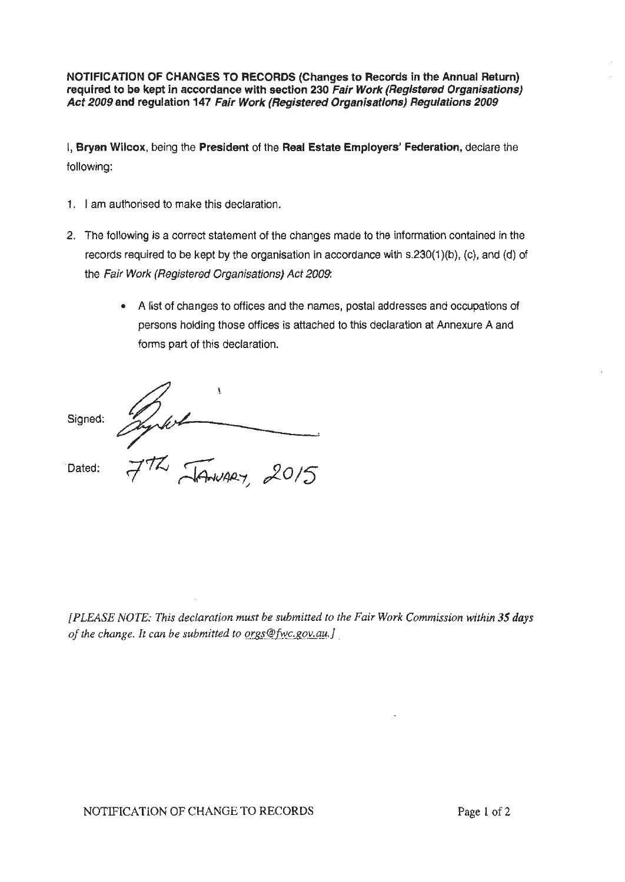**NOTIFICATION OF CHANGES TO RECORDS (Changes to Records in the Annual Return) required to be kept in accordance with section 230 Fair Work (Registered Organisations) Act 2009 and regulation 147 Fair Work (Registered Organisations) Regulations 2009** 

I, **Bryan Wilcox,** being the **President** of the **Real Estate Employers' Federation,** declare the following:

- 1. I am authorised to make this declaration.
- 2. The following is a correct statement of the changes made to the information contained in the records required to be kept by the organisation in accordance with s.230(1 )(b), (c), and (d) of the Fair Work (Registered Organisations) Act 2009:
	- A list of changes to offices and the names, postal addresses and occupations of persons holding those offices is attached to this declaration at Annexure A and forms part of this declaration.

Junket 15 Signed: Dated:

*[PLEASE NOTE: This declaration must be submitted to the Fair Work Commission within 35 days of the change. It can be submitted to orgs@fwc.gov.au.]*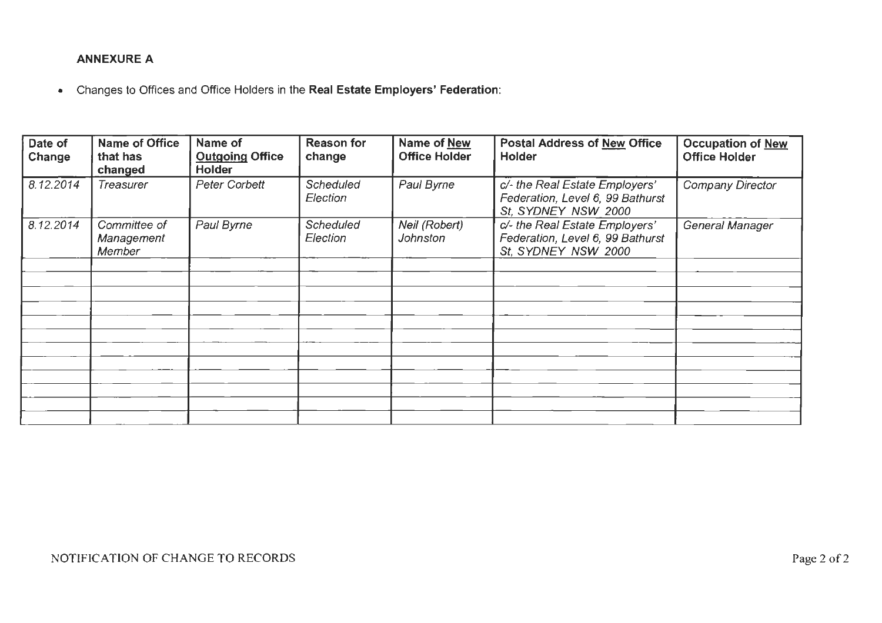### **ANNEXURE A**

• Changes to Offices and Office Holders in the **Real Estate Employers' Federation:** 

| Date of<br>Change | <b>Name of Office</b><br>that has<br>changed | Name of<br><b>Outgoing Office</b><br>Holder | <b>Reason for</b><br>change  | <b>Name of New</b><br><b>Office Holder</b> | Postal Address of New Office<br>Holder                                                    | <b>Occupation of New</b><br><b>Office Holder</b> |
|-------------------|----------------------------------------------|---------------------------------------------|------------------------------|--------------------------------------------|-------------------------------------------------------------------------------------------|--------------------------------------------------|
| 8.12.2014         | <b>Treasurer</b>                             | Peter Corbett                               | <b>Scheduled</b><br>Election | Paul Byrne                                 | c/- the Real Estate Employers'<br>Federation, Level 6, 99 Bathurst<br>St, SYDNEY NSW 2000 | <b>Company Director</b>                          |
| 8.12.2014         | Committee of<br>Management<br>Member         | Paul Byrne                                  | <b>Scheduled</b><br>Election | Neil (Robert)<br><b>Johnston</b>           | c/- the Real Estate Employers'<br>Federation, Level 6, 99 Bathurst<br>St, SYDNEY NSW 2000 | General Manager                                  |
|                   |                                              |                                             |                              |                                            |                                                                                           |                                                  |
|                   |                                              |                                             |                              |                                            |                                                                                           |                                                  |
|                   |                                              |                                             |                              |                                            |                                                                                           |                                                  |
|                   |                                              |                                             |                              |                                            |                                                                                           |                                                  |
|                   |                                              |                                             |                              |                                            |                                                                                           |                                                  |
|                   |                                              |                                             |                              |                                            |                                                                                           |                                                  |
|                   |                                              |                                             |                              |                                            |                                                                                           |                                                  |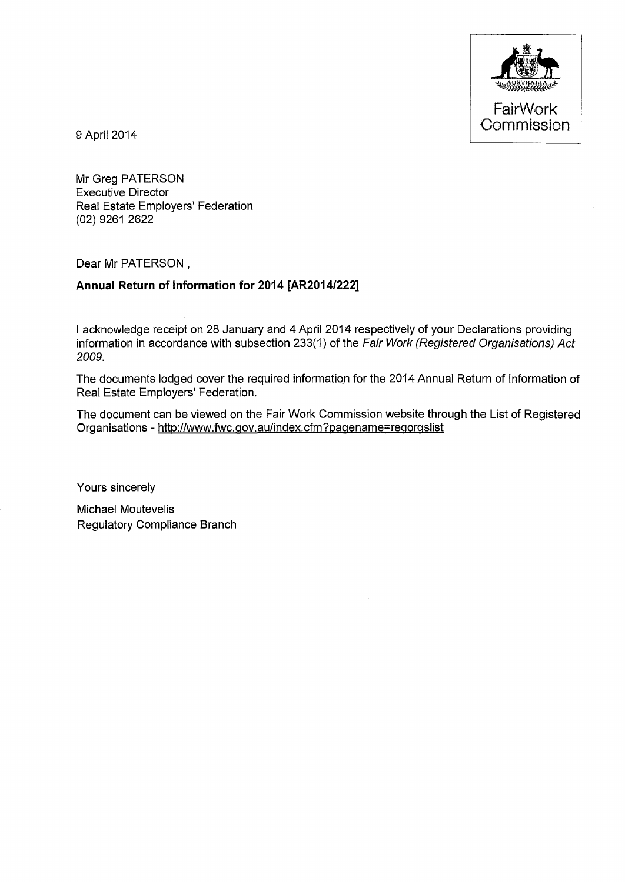

9 April2014

Mr Greg PATERSON Executive Director Real Estate Employers' Federation (02) 9261 2622

Dear Mr PATERSON,

#### **Annual Return of Information for 2014 [AR2014/222]**

I acknowledge receipt on 28 January and 4 April 2014 respectively of your Declarations providing information in accordance with subsection 233(1) of the Fair Work (Registered Organisations) Act 2009.

The documents lodged cover the required information for the 2014 Annual Return of Information of Real Estate Employers' Federation.

The document can be viewed on the Fair Work Commission website through the List of Registered Organisations - http://www.fwc.gov.aulindex.cfm?pagename=regorgslist

Yours sincerely

Michael Moutevelis Regulatory Compliance Branch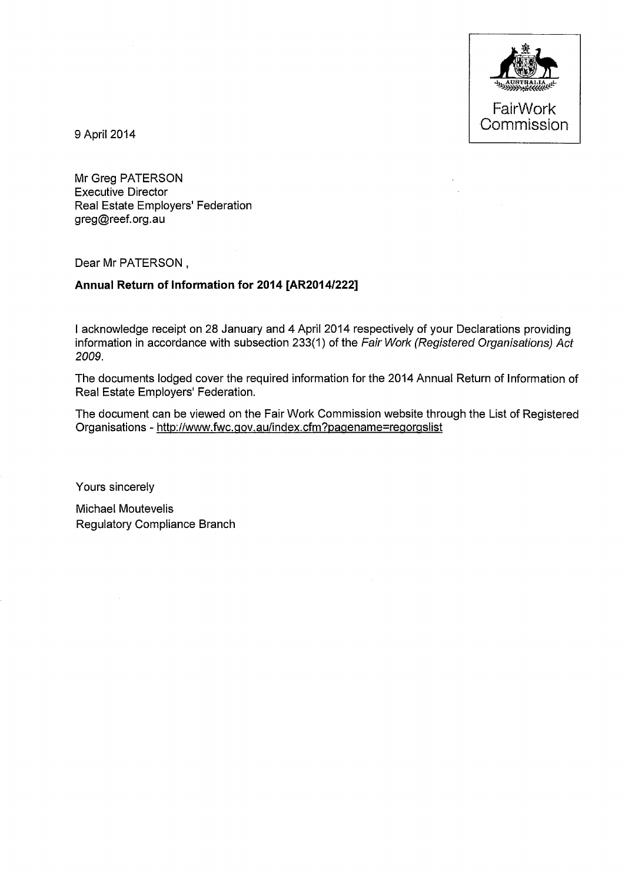

9 April2014

Mr Greg PATERSON Executive Director Real Estate Employers' Federation greg@reef.org.au

Dear Mr PATERSON,

### **Annual Return of Information for 2014 [AR2014/222]**

I acknowledge receipt on 28 January and 4 April 2014 respectively of your Declarations providing information in accordance with subsection 233(1) of the Fair Work (Registered Organisations) Act 2009.

The documents lodged cover the required information for the 2014 Annual Return of Information of Real Estate Employers' Federation.

The document can be viewed on the Fair Work Commission website through the List of Registered Organisations- http://www.fwc.gov.au/index.cfm?pagename=regorgslist

Yours sincerely

Michael Moutevelis Regulatory Compliance Branch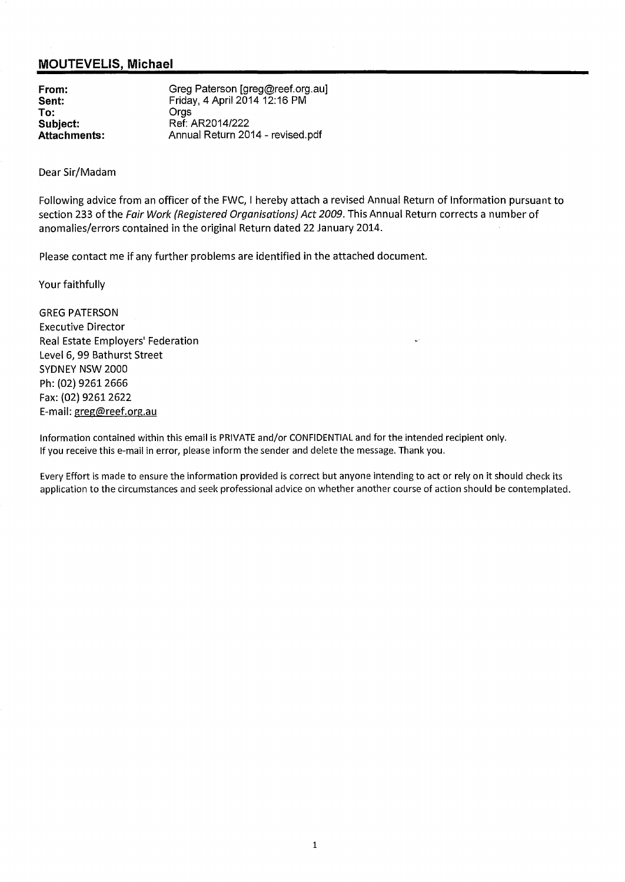#### **MOUTEVELIS, Michael**

**From: Sent: To: Subject: Attachments:**  Greg Paterson [greg@reef.org.au] Friday, 4 April2014 12:16 PM Orgs Ref: AR2014/222 Annual Return 2014- revised.pdf

Dear Sir/Madam

Following advice from an officer of the FWC, I hereby attach a revised Annual Return of Information pursuant to section 233 of the Fair Work (Registered Organisations) Act 2009. This Annual Return corrects a number of anomalies/errors contained in the original Return dated 22 January 2014.

Please contact me if any further problems are identified in the attached document.

Your faithfully

GREG PATERSON Executive Director Real Estate Employers' Federation Level 6, 99 Bathurst Street SYDNEY NSW 2000 Ph: (02} 9261 2666 Fax: (02) 9261 2622 E-mail: greg@reef.org.au

Information contained within this email is PRIVATE and/or CONFIDENTIAL and for the intended recipient only. If you receive this e-mail in error, please inform the sender and delete the message. Thank you.

Every Effort is made to ensure the information provided is correct but anyone intending to act or rely on it should check its application to the circumstances and seek professional advice on whether another course of action should be contemplated.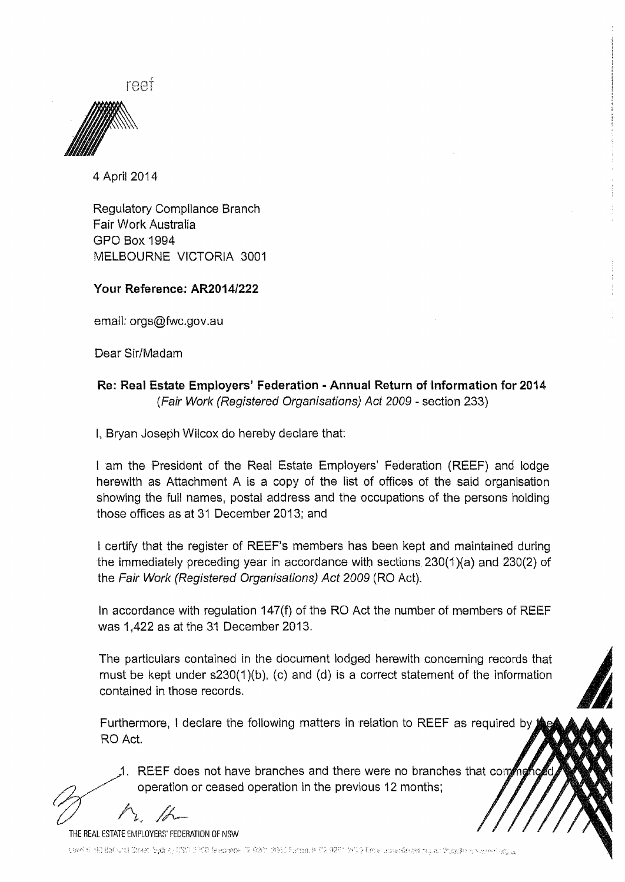reet



4 April2014

Regulatory Compliance Branch Fair Work Australia GPO Box1994 MELBOURNE VICTORIA 3001

### Your Reference: AR2014/222

email: orgs@fwc.gov.au

Dear Sir/Madam

## Re: Real Estate Employers' Federation ·Annual Return of Information for 2014 (Fair Work (Registered Organisations) Act 2009- section 233)

I, Bryan Joseph Wilcox do hereby declare that:

I am the President of the Real Estate Employers' Federation (REEF) and lodge herewith as Attachment A is a copy of the list of offices of the said organisation showing the full names, postal address and the occupations of the persons holding those offices as at 31 December 2013; and

I certify that the register of REEF's members has been kept and maintained during the immediately preceding year in accordance with sections  $230(1)(a)$  and  $230(2)$  of the Fair Work (Registered Organisations) Act 2009 (RO Act).

In accordance with regulation 147(f) of the RO Act the number of members of REEF was 1,422 as at the 31 December 2013.

The particulars contained in the document lodged herewith concerning records that must be kept under s230(1)(b), (c) and (d) is a correct statement of the information contained in those records.

Furthermore, I declare the following matters in relation to REEF as required by RO Act.

1. REEF does not have branches and there were no branches that com operation or ceased operation in the previous 12 months;

'tl *1\,* ~-

THE REAL ESTATE EMPLOYERS' FEDERATION OF NSW

uard til 19 Babutt Greet Sydie (1991-2001) Teeprone (2 BB) i 2695 Eaconde (12 0291-2012). Emel uomrén est agua Vidade vizer en 90 a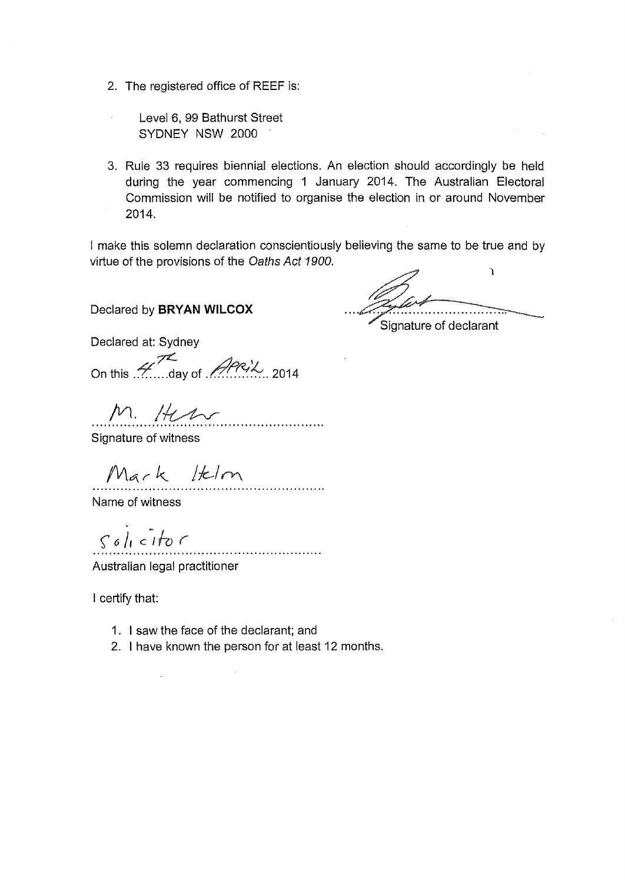- 2. The registered office of **REEF** is:
	- Level 6, 99 Bathurst Street SYDNEY NSW 2000
- 3. Rule 33 requires biennial elections. An election should accordingly be held during the year commencing 1 January 2014. The Australian Electoral Commission will be notified to organise the election in or around November 2014.

I make this solemn declaration conscientiously believing the same to be true and by virtue of the provisions of the Oaths Act 1900.

Declared by **BRYAN WILCOX** 

Signature of declarant

Declared at: Sydney

On this  $\mathscr{H}$  day of  $\mathscr{H}^{\mathcal{P},\mathcal{U}}$  2014

M. Hen

Signature of witness

Mark Itelm

Name of witness

 $solicito$ 

 $\ddot{\phantom{a}}$ 

Australian legal practitioner

I certify that:

- 1. I saw the face of the declarant; and
- 2. I have known the person for at least 12 months.